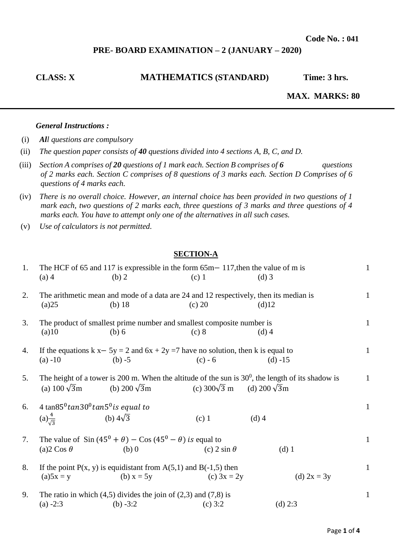**Code No. : 041**

# **PRE- BOARD EXAMINATION – 2 (JANUARY – 2020)**

# **CLASS: X MATHEMATICS (STANDARD) Time: 3 hrs.**

 **MAX. MARKS: 80** 

# *General Instructions :*

- (i) *All questions are compulsory*
- (ii) *The question paper consists of 40 questions divided into 4 sections A, B, C, and D.*
- (iii) *Section A comprises of 20 questions of 1 mark each. Section B comprises of 6 questions of 2 marks each. Section C comprises of 8 questions of 3 marks each. Section D Comprises of 6 questions of 4 marks each.*
- (iv) *There is no overall choice. However, an internal choice has been provided in two questions of 1 mark each, two questions of 2 marks each, three questions of 3 marks and three questions of 4 marks each. You have to attempt only one of the alternatives in all such cases.*
- (v) *Use of calculators is not permitted.*

# **SECTION-A**

| 1. | $(a)$ 4                                                                                     | The HCF of 65 and 117 is expressible in the form $65m - 117$ , then the value of m is<br>(b) 2     | $(c)$ 1             | $(d)$ 3                                                                                                                      | $\mathbf{1}$ |
|----|---------------------------------------------------------------------------------------------|----------------------------------------------------------------------------------------------------|---------------------|------------------------------------------------------------------------------------------------------------------------------|--------------|
| 2. | (a)25                                                                                       | The arithmetic mean and mode of a data are 24 and 12 respectively, then its median is<br>$(b)$ 18  | $(c)$ 20            | (d)12                                                                                                                        | $\mathbf{1}$ |
| 3. | (a)10                                                                                       | The product of smallest prime number and smallest composite number is<br>(b) 6                     | (c) 8               | $(d)$ 4                                                                                                                      | $\mathbf{1}$ |
| 4. | $(a) -10$                                                                                   | If the equations $k x - 5y = 2$ and $6x + 2y = 7$ have no solution, then k is equal to<br>$(b) -5$ | $(c) - 6$           | $(d) -15$                                                                                                                    | $\mathbf{1}$ |
| 5. | (a) $100\sqrt{3}m$                                                                          | (b) 200 $\sqrt{3}$ m                                                                               | (c) $300\sqrt{3}$ m | The height of a tower is 200 m. When the altitude of the sun is $30^0$ , the length of its shadow is<br>(d) 200 $\sqrt{3}$ m | $\mathbf{1}$ |
| 6. | 4 tan $85^{\circ}$ tan $30^{\circ}$ tan $5^{\circ}$ is equal to<br>$(a) \frac{4}{\sqrt{3}}$ | (b) $4\sqrt{3}$                                                                                    | $(c)$ 1             | $(d)$ 4                                                                                                                      | $\mathbf{1}$ |
| 7. | (a) $2 \text{Cos } \theta$                                                                  | The value of Sin $(45^0 + \theta) - \cos(45^0 - \theta)$ is equal to<br>$(b)$ 0                    | (c) $2 \sin \theta$ | $(d)$ 1                                                                                                                      | $\mathbf{1}$ |
| 8. | $(a)5x = y$                                                                                 | If the point $P(x, y)$ is equidistant from $A(5,1)$ and $B(-1,5)$ then<br>(b) $x = 5y$             | (c) $3x = 2y$       | (d) $2x = 3y$                                                                                                                | $\mathbf{1}$ |
| 9. | $(a) -2:3$                                                                                  | The ratio in which $(4,5)$ divides the join of $(2,3)$ and $(7,8)$ is<br>(b) $-3:2$                | $(c)$ 3:2           | $(d)$ 2:3                                                                                                                    | $\mathbf{1}$ |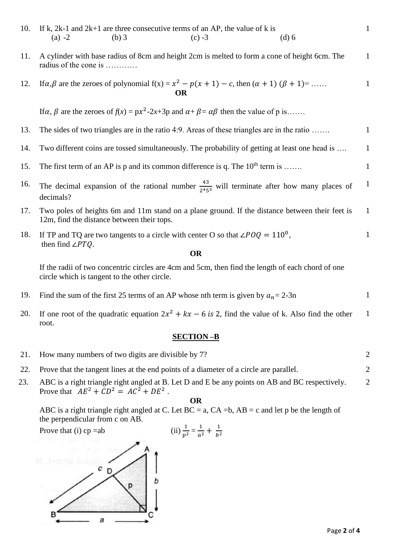| 10. | If k, $2k-1$ and $2k+1$ are three consecutive terms of an AP, the value of k is<br>$(a) -2$<br>$(b)$ 3                                            | $(c) -3$  | $(d)$ 6 | $\mathbf{1}$ |
|-----|---------------------------------------------------------------------------------------------------------------------------------------------------|-----------|---------|--------------|
| 11. | A cylinder with base radius of 8cm and height 2cm is melted to form a cone of height 6cm. The<br>radius of the cone is                            |           |         | $\mathbf{1}$ |
| 12. | If $\alpha, \beta$ are the zeroes of polynomial $f(x) = x^2 - p(x + 1) - c$ , then $(\alpha + 1) (\beta + 1) =$                                   | OR        |         | $\mathbf{1}$ |
|     | If $\alpha$ , $\beta$ are the zeroes of $f(x) = px^2-2x+3p$ and $\alpha + \beta = \alpha\beta$ then the value of p is                             |           |         |              |
| 13. | The sides of two triangles are in the ratio 4:9. Areas of these triangles are in the ratio                                                        |           |         | $\mathbf{1}$ |
| 14. | Two different coins are tossed simultaneously. The probability of getting at least one head is                                                    |           |         | $\mathbf{1}$ |
| 15. | The first term of an AP is p and its common difference is q. The $10^{th}$ term is                                                                |           |         | $\mathbf{1}$ |
| 16. | The decimal expansion of the rational number $\frac{43}{2453}$ will terminate after how many places of<br>decimals?                               |           |         | $\mathbf{1}$ |
| 17. | Two poles of heights 6m and 11m stand on a plane ground. If the distance between their feet is<br>12m, find the distance between their tops.      |           |         | $\mathbf{1}$ |
| 18. | If TP and TQ are two tangents to a circle with center O so that $\angle POQ = 110^0$ ,<br>then find $\angle PTQ$ .                                | <b>OR</b> |         | $\mathbf{1}$ |
|     |                                                                                                                                                   |           |         |              |
|     | If the radii of two concentric circles are 4cm and 5cm, then find the length of each chord of one<br>circle which is tangent to the other circle. |           |         |              |
| 19. | Find the sum of the first 25 terms of an AP whose nth term is given by $a_n = 2-3n$                                                               |           |         | $\mathbf{1}$ |

20. If one root of the quadratic equation  $2x^2 + kx - 6$  is 2, find the value of k. Also find the other root. 1

# **SECTION –B**

|     | 21. How many numbers of two digits are divisible by 7?                                                                                      |   |
|-----|---------------------------------------------------------------------------------------------------------------------------------------------|---|
| 22. | Prove that the tangent lines at the end points of a diameter of a circle are parallel.                                                      |   |
| 23. | ABC is a right triangle right angled at B. Let D and E be any points on AB and BC respectively.<br>Prove that $AE^2 + CD^2 = AC^2 + DE^2$ . | 2 |

**OR**

ABC is a right triangle right angled at C. Let  $BC = a$ ,  $CA = b$ ,  $AB = c$  and let p be the length of the perpendicular from c on AB.

Prove that  $(i)$  cp =ab

(ii) 
$$
\frac{1}{p^2} = \frac{1}{a^2} + \frac{1}{b^2}
$$

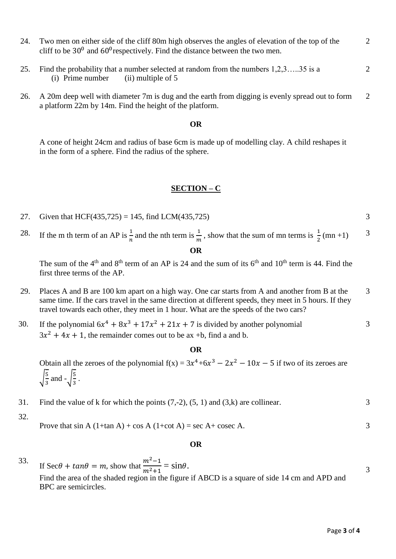- 24. Two men on either side of the cliff 80m high observes the angles of elevation of the top of the cliff to be  $30^0$  and  $60^0$  respectively. Find the distance between the two men. 2
- 25. Find the probability that a number selected at random from the numbers 1,2,3…..35 is a (i) Prime number  $(i)$  multiple of 5
- 26. A 20m deep well with diameter 7m is dug and the earth from digging is evenly spread out to form a platform 22m by 14m. Find the height of the platform. 2

#### **OR**

A cone of height 24cm and radius of base 6cm is made up of modelling clay. A child reshapes it in the form of a sphere. Find the radius of the sphere.

### **SECTION – C**

- 27. Given that HCF(435,725) = 145, find LCM(435,725) 3
- 28. If the m th term of an AP is  $\frac{1}{n}$  and the nth term is  $\frac{1}{m}$ , show that the sum of mn terms is  $\frac{1}{2}$  (mn +1) **OR** 3

The sum of the  $4<sup>th</sup>$  and  $8<sup>th</sup>$  term of an AP is 24 and the sum of its  $6<sup>th</sup>$  and  $10<sup>th</sup>$  term is 44. Find the first three terms of the AP.

- 29. Places A and B are 100 km apart on a high way. One car starts from A and another from B at the same time. If the cars travel in the same direction at different speeds, they meet in 5 hours. If they travel towards each other, they meet in 1 hour. What are the speeds of the two cars? 3
- 30. If the polynomial  $6x^4 + 8x^3 + 17x^2 + 21x + 7$  is divided by another polynomial  $3x^2 + 4x + 1$ , the remainder comes out to be ax +b, find a and b. 3

#### **OR**

Obtain all the zeroes of the polynomial  $f(x) = 3x^4 + 6x^3 - 2x^2 - 10x - 5$  if two of its zeroes are √ 5  $rac{5}{3}$  and  $-\sqrt{\frac{5}{3}}$  $\frac{3}{3}$ .

- 31. Find the value of k for which the points  $(7,-2)$ ,  $(5, 1)$  and  $(3,k)$  are collinear. 3
- 32.

Prove that  $\sin A$  (1+tan A) + cos A (1+cot A) = sec A+ cosec A.

#### **OR**

33. If Sec $\theta$  +  $tan\theta$  = m, show that  $\frac{m^2-1}{m^2+4}$  $\frac{m-1}{m^2+1} = \sin\theta.$ Find the area of the shaded region in the figure if ABCD is a square of side 14 cm and APD and BPC are semicircles.

3

3

2